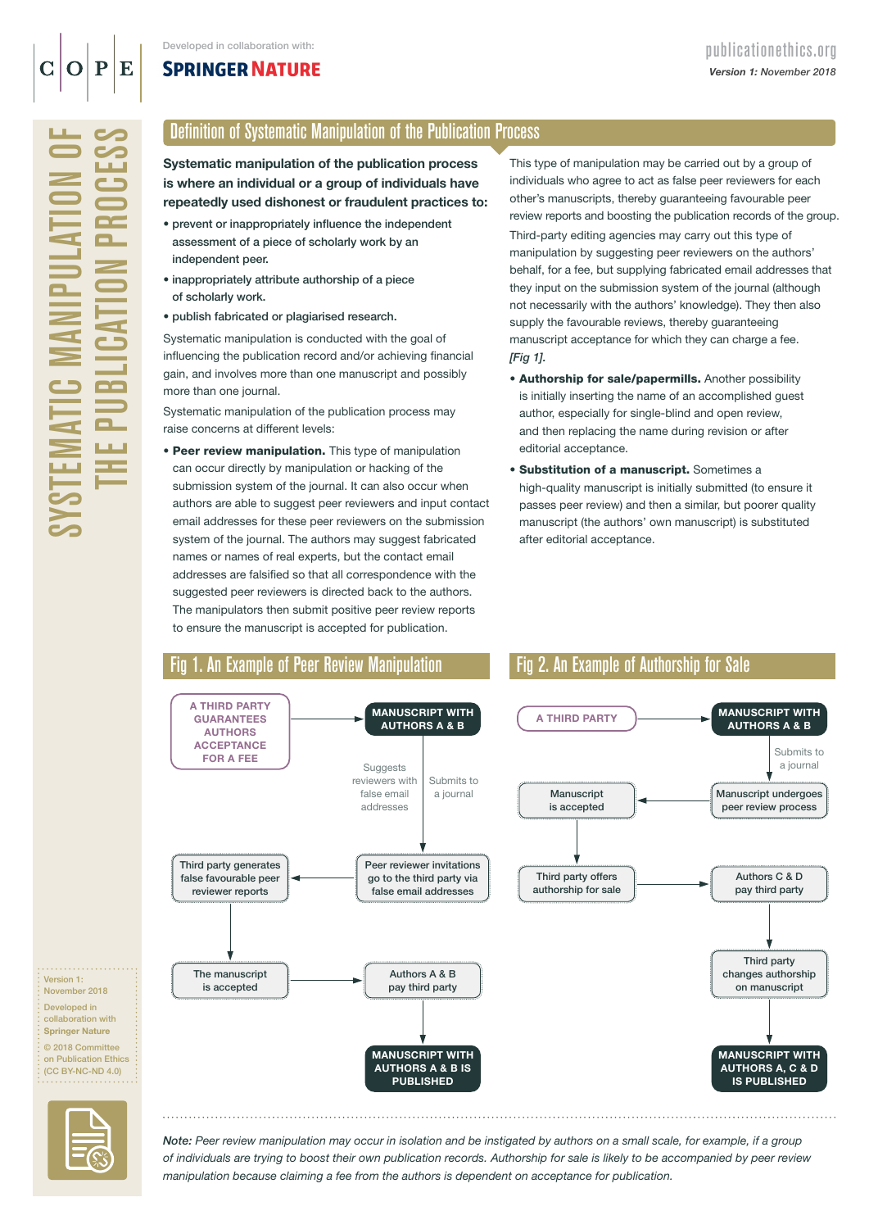## **SPRINGER NATURE**

SYSTEMATIC MANIPULATION OF THE PUBLICATION PROCESS **/STEMATIC MANIPULATIO**  $\overline{\mathbf{R}}$  $\overline{\blacksquare}$ Ξ  $\mathbf{R}$ LА. ш.

### Definition of Systematic Manipulation of the Publication Process

Systematic manipulation of the publication process is where an individual or a group of individuals have repeatedly used dishonest or fraudulent practices to:

- prevent or inappropriately influence the independent assessment of a piece of scholarly work by an independent peer.
- inappropriately attribute authorship of a piece of scholarly work.
- publish fabricated or plagiarised research.

Systematic manipulation is conducted with the goal of influencing the publication record and/or achieving financial gain, and involves more than one manuscript and possibly more than one journal.

Systematic manipulation of the publication process may raise concerns at different levels:

• Peer review manipulation. This type of manipulation can occur directly by manipulation or hacking of the submission system of the journal. It can also occur when authors are able to suggest peer reviewers and input contact email addresses for these peer reviewers on the submission system of the journal. The authors may suggest fabricated names or names of real experts, but the contact email addresses are falsified so that all correspondence with the suggested peer reviewers is directed back to the authors. The manipulators then submit positive peer review reports to ensure the manuscript is accepted for publication.

This type of manipulation may be carried out by a group of individuals who agree to act as false peer reviewers for each other's manuscripts, thereby guaranteeing favourable peer review reports and boosting the publication records of the group.

Third-party editing agencies may carry out this type of manipulation by suggesting peer reviewers on the authors' behalf, for a fee, but supplying fabricated email addresses that they input on the submission system of the journal (although not necessarily with the authors' knowledge). They then also supply the favourable reviews, thereby guaranteeing manuscript acceptance for which they can charge a fee. *[Fig 1].* 

- Authorship for sale/papermills. Another possibility is initially inserting the name of an accomplished guest author, especially for single-blind and open review, and then replacing the name during revision or after editorial acceptance.
- Substitution of a manuscript. Sometimes a high-quality manuscript is initially submitted (to ensure it passes peer review) and then a similar, but poorer quality manuscript (the authors' own manuscript) is substituted after editorial acceptance.



collaboration with Springer Nature © 2018 Committee on Publication Ethics

Version 1: November 2018 Developed in



(CC BY-NC-ND 4.0)

*Note: Peer review manipulation may occur in isolation and be instigated by authors on a small scale, for example, if a group of individuals are trying to boost their own publication records. Authorship for sale is likely to be accompanied by peer review manipulation because claiming a fee from the authors is dependent on acceptance for publication.*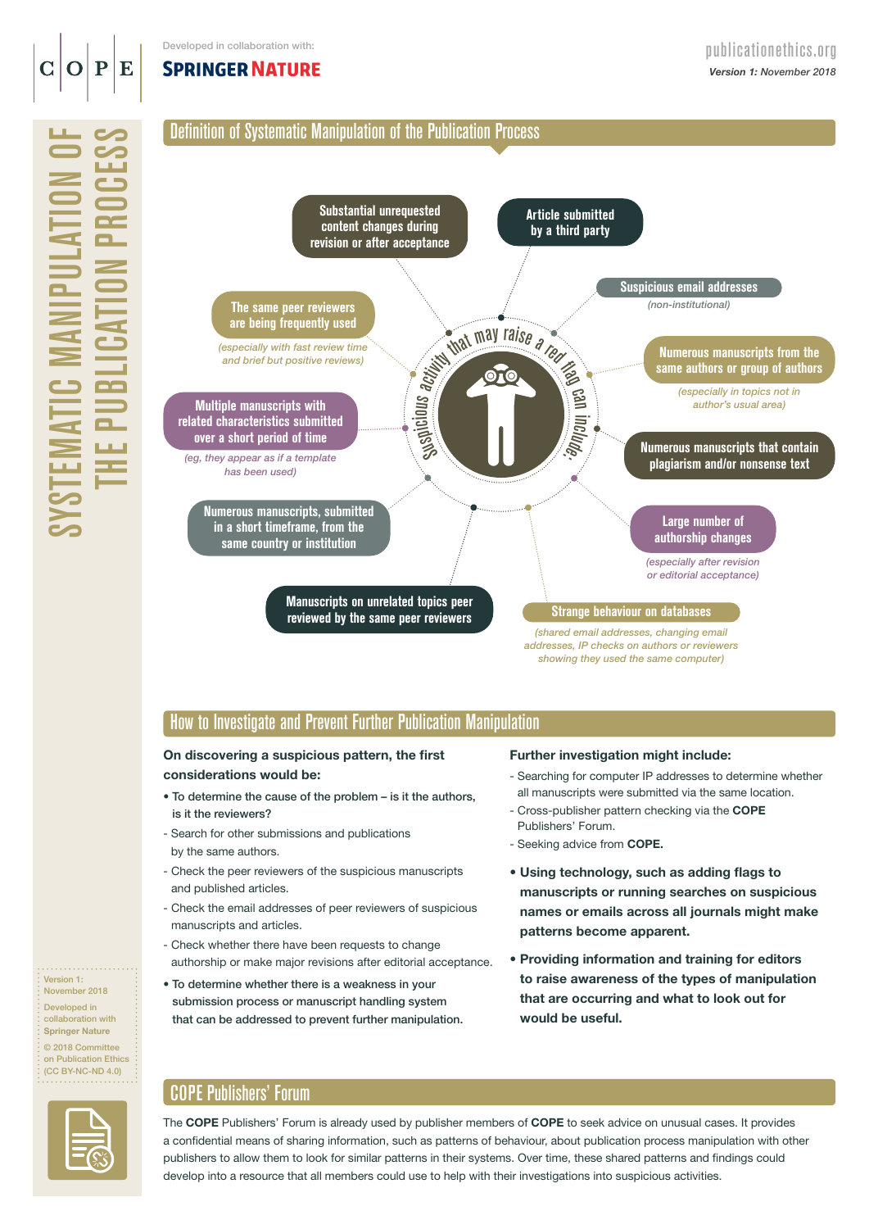# **SPRINGER NATURE**





**Manuscripts on unrelated topics peer reviewed by the same peer reviewers**

Suspicious activity that may raise a red fag ci Include. **Numerous manuscripts from the same authors or group of authors Strange behaviour on databases**  *(especially after revision or editorial acceptance)* **Large number of authorship changes** *(especially in topics not in author's usual area)* **Numerous manuscripts that contain plagiarism and/or nonsense text**

**Article submitted by a third party**

*(shared email addresses, changing email addresses, IP checks on authors or reviewers showing they used the same computer)*

## How to Investigate and Prevent Further Publication Manipulation

#### On discovering a suspicious pattern, the first considerations would be:

- To determine the cause of the problem is it the authors, is it the reviewers?
- Search for other submissions and publications by the same authors.
- Check the peer reviewers of the suspicious manuscripts and published articles.
- Check the email addresses of peer reviewers of suspicious manuscripts and articles.
- Check whether there have been requests to change authorship or make major revisions after editorial acceptance.
- To determine whether there is a weakness in your submission process or manuscript handling system that can be addressed to prevent further manipulation.

#### Further investigation might include:

- Searching for computer IP addresses to determine whether all manuscripts were submitted via the same location.

*(non-institutional)* **Suspicious email addresses**

- Cross-publisher pattern checking via the COPE Publishers' Forum.
- Seeking advice from COPE.
- Using technology, such as adding flags to manuscripts or running searches on suspicious names or emails across all journals might make patterns become apparent.
- Providing information and training for editors to raise awareness of the types of manipulation that are occurring and what to look out for would be useful.

# COPE Publishers' Forum

Version 1: November 2018 Developed in collaboration with Springer Nature © 2018 Committee on Publication Ethics (CC BY-NC-ND 4.0)

. . . . . . . .

The COPE Publishers' Forum is already used by publisher members of COPE to seek advice on unusual cases. It provides a confidential means of sharing information, such as patterns of behaviour, about publication process manipulation with other publishers to allow them to look for similar patterns in their systems. Over time, these shared patterns and findings could develop into a resource that all members could use to help with their investigations into suspicious activities.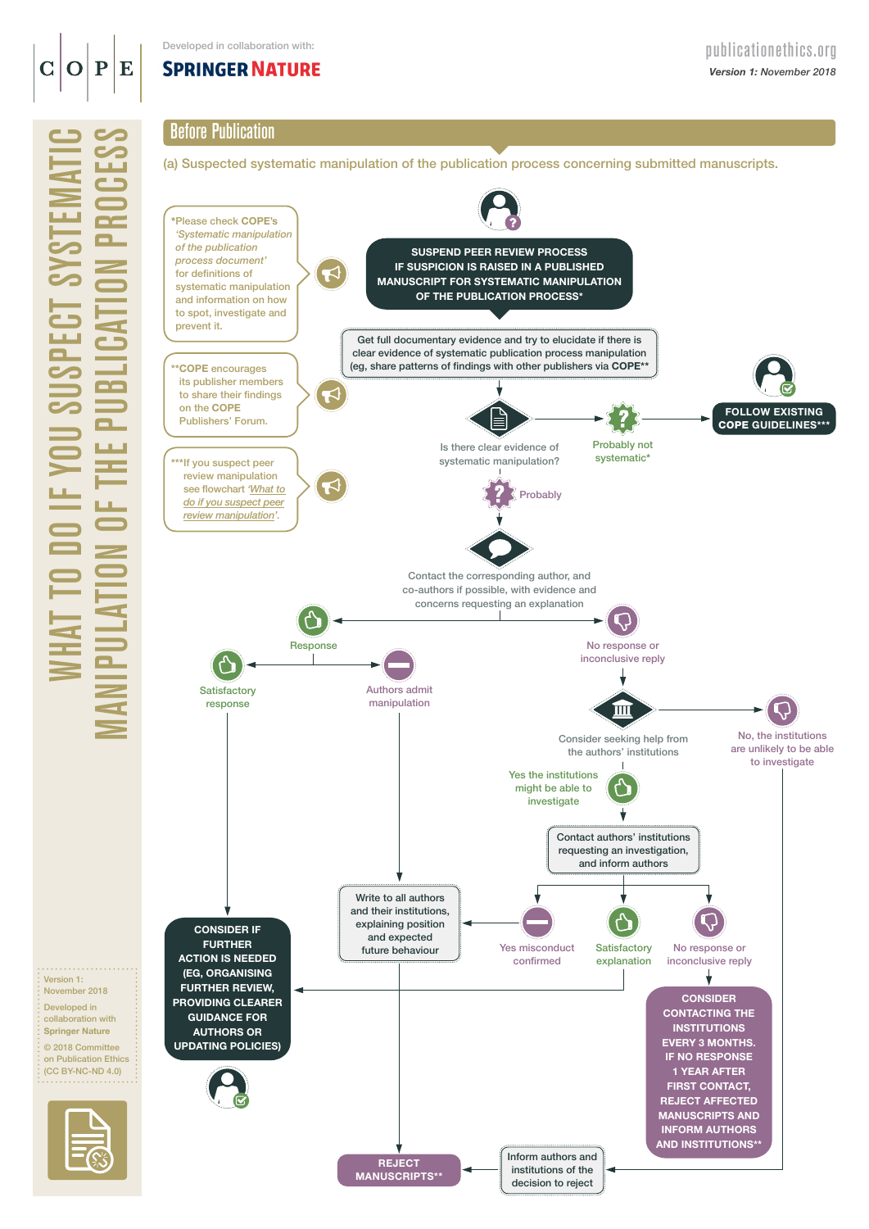### ${\bf P}$ E C

What to do if you suspect systematic

Version 1:

المتمام والمتمالي

# Before Publication

(a) Suspected systematic manipulation of the publication process concerning submitted manuscripts.